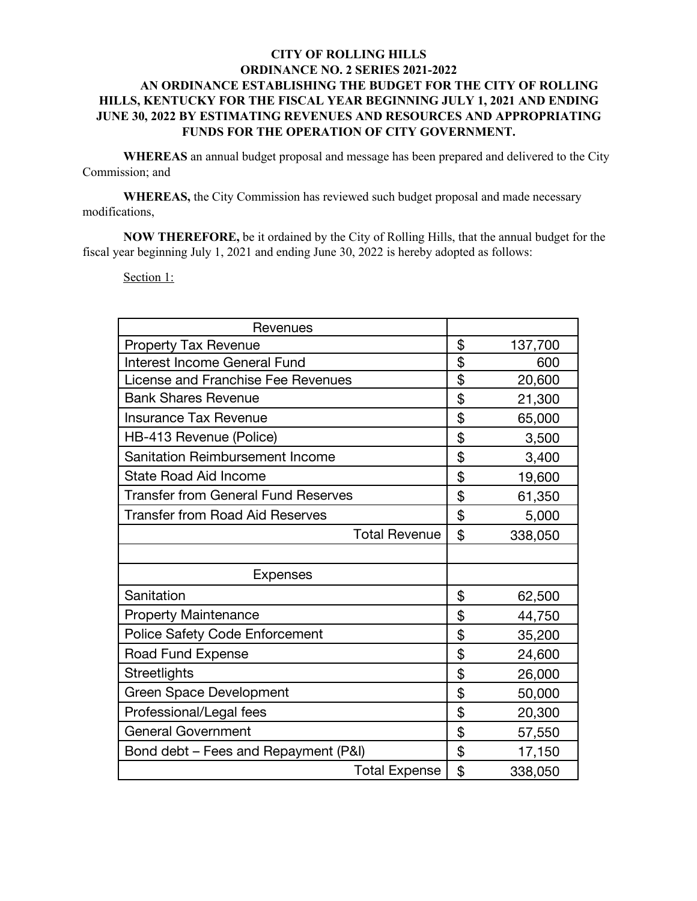## **CITY OF ROLLING HILLS ORDINANCE NO. 2 SERIES 2021-2022 AN ORDINANCE ESTABLISHING THE BUDGET FOR THE CITY OF ROLLING HILLS, KENTUCKY FOR THE FISCAL YEAR BEGINNING JULY 1, 2021 AND ENDING JUNE 30, 2022 BY ESTIMATING REVENUES AND RESOURCES AND APPROPRIATING FUNDS FOR THE OPERATION OF CITY GOVERNMENT.**

**WHEREAS** an annual budget proposal and message has been prepared and delivered to the City Commission; and

**WHEREAS,** the City Commission has reviewed such budget proposal and made necessary modifications,

**NOW THEREFORE,** be it ordained by the City of Rolling Hills, that the annual budget for the fiscal year beginning July 1, 2021 and ending June 30, 2022 is hereby adopted as follows:

Section 1:

| Revenues                                   |               |
|--------------------------------------------|---------------|
| <b>Property Tax Revenue</b>                | \$<br>137,700 |
| Interest Income General Fund               | \$<br>600     |
| License and Franchise Fee Revenues         | \$<br>20,600  |
| <b>Bank Shares Revenue</b>                 | \$<br>21,300  |
| <b>Insurance Tax Revenue</b>               | \$<br>65,000  |
| HB-413 Revenue (Police)                    | \$<br>3,500   |
| Sanitation Reimbursement Income            | \$<br>3,400   |
| <b>State Road Aid Income</b>               | \$<br>19,600  |
| <b>Transfer from General Fund Reserves</b> | \$<br>61,350  |
| <b>Transfer from Road Aid Reserves</b>     | \$<br>5,000   |
| <b>Total Revenue</b>                       | \$<br>338,050 |
|                                            |               |
| <b>Expenses</b>                            |               |
| Sanitation                                 | \$<br>62,500  |
| <b>Property Maintenance</b>                | \$<br>44,750  |
| <b>Police Safety Code Enforcement</b>      | \$<br>35,200  |
| Road Fund Expense                          | \$<br>24,600  |
| <b>Streetlights</b>                        | \$<br>26,000  |
| <b>Green Space Development</b>             | \$<br>50,000  |
| Professional/Legal fees                    | \$<br>20,300  |
| <b>General Government</b>                  | \$<br>57,550  |
| Bond debt - Fees and Repayment (P&I)       | \$<br>17,150  |
| <b>Total Expense</b>                       | \$<br>338,050 |